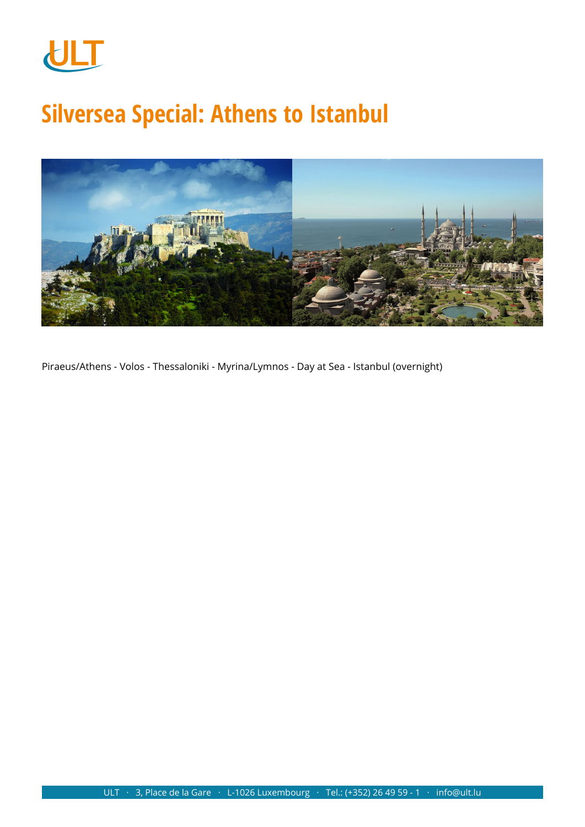

# **Silversea Special: Athens to Istanbul**



Piraeus/Athens - Volos - Thessaloniki - Myrina/Lymnos - Day at Sea - Istanbul (overnight)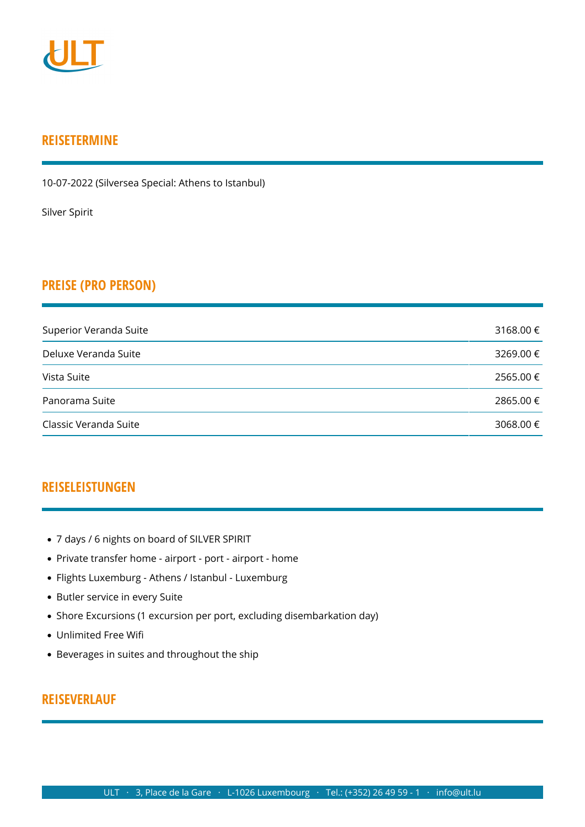

## **REISETERMINE**

10-07-2022 (Silversea Special: Athens to Istanbul)

[Silver Spirit](https://www.ult.lu/de/unterbringung/h/1252.html)

## **PREISE (PRO PERSON)**

| Superior Veranda Suite | 3168.00 € |
|------------------------|-----------|
| Deluxe Veranda Suite   | 3269.00 € |
| Vista Suite            | 2565.00 € |
| Panorama Suite         | 2865.00 € |
| Classic Veranda Suite  | 3068.00 € |

## **REISELEISTUNGEN**

- 7 days / 6 nights on board of SILVER SPIRIT
- Private transfer home airport port airport home
- Flights Luxemburg Athens / Istanbul Luxemburg
- Butler service in every Suite
- Shore Excursions (1 excursion per port, excluding disembarkation day)
- Unlimited Free Wifi
- Beverages in suites and throughout the ship

## **REISEVERLAUF**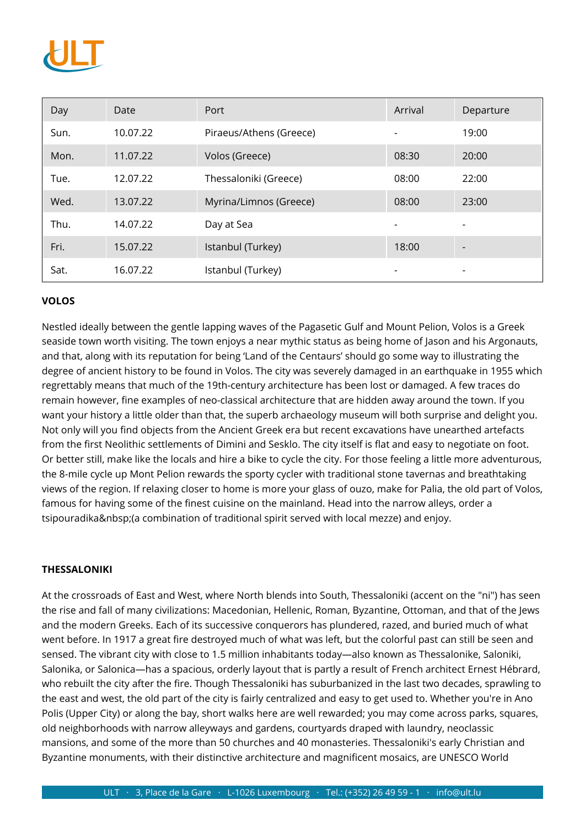

| Day  | Date     | Port                    | Arrival | Departure |
|------|----------|-------------------------|---------|-----------|
| Sun. | 10.07.22 | Piraeus/Athens (Greece) |         | 19:00     |
| Mon. | 11.07.22 | Volos (Greece)          | 08:30   | 20:00     |
| Tue. | 12.07.22 | Thessaloniki (Greece)   | 08:00   | 22:00     |
| Wed. | 13.07.22 | Myrina/Limnos (Greece)  | 08:00   | 23:00     |
| Thu. | 14.07.22 | Day at Sea              |         |           |
| Fri. | 15.07.22 | Istanbul (Turkey)       | 18:00   |           |
| Sat. | 16.07.22 | Istanbul (Turkey)       |         |           |

#### **VOLOS**

Nestled ideally between the gentle lapping waves of the Pagasetic Gulf and Mount Pelion, Volos is a Greek seaside town worth visiting. The town enjoys a near mythic status as being home of Jason and his Argonauts, and that, along with its reputation for being 'Land of the Centaurs' should go some way to illustrating the degree of ancient history to be found in Volos. The city was severely damaged in an earthquake in 1955 which regrettably means that much of the 19th-century architecture has been lost or damaged. A few traces do remain however, fine examples of neo-classical architecture that are hidden away around the town. If you want your history a little older than that, the superb archaeology museum will both surprise and delight you. Not only will you find objects from the Ancient Greek era but recent excavations have unearthed artefacts from the first Neolithic settlements of Dimini and Sesklo. The city itself is flat and easy to negotiate on foot. Or better still, make like the locals and hire a bike to cycle the city. For those feeling a little more adventurous, the 8-mile cycle up Mont Pelion rewards the sporty cycler with traditional stone tavernas and breathtaking views of the region. If relaxing closer to home is more your glass of ouzo, make for Palia, the old part of Volos, famous for having some of the finest cuisine on the mainland. Head into the narrow alleys, order a tsipouradika (a combination of traditional spirit served with local mezze) and enjoy.

#### **THESSALONIKI**

At the crossroads of East and West, where North blends into South, Thessaloniki (accent on the "ni") has seen the rise and fall of many civilizations: Macedonian, Hellenic, Roman, Byzantine, Ottoman, and that of the Jews and the modern Greeks. Each of its successive conquerors has plundered, razed, and buried much of what went before. In 1917 a great fire destroyed much of what was left, but the colorful past can still be seen and sensed. The vibrant city with close to 1.5 million inhabitants today—also known as Thessalonike, Saloniki, Salonika, or Salonica—has a spacious, orderly layout that is partly a result of French architect Ernest Hébrard, who rebuilt the city after the fire. Though Thessaloniki has suburbanized in the last two decades, sprawling to the east and west, the old part of the city is fairly centralized and easy to get used to. Whether you're in Ano Polis (Upper City) or along the bay, short walks here are well rewarded; you may come across parks, squares, old neighborhoods with narrow alleyways and gardens, courtyards draped with laundry, neoclassic mansions, and some of the more than 50 churches and 40 monasteries. Thessaloniki's early Christian and Byzantine monuments, with their distinctive architecture and magnificent mosaics, are UNESCO World